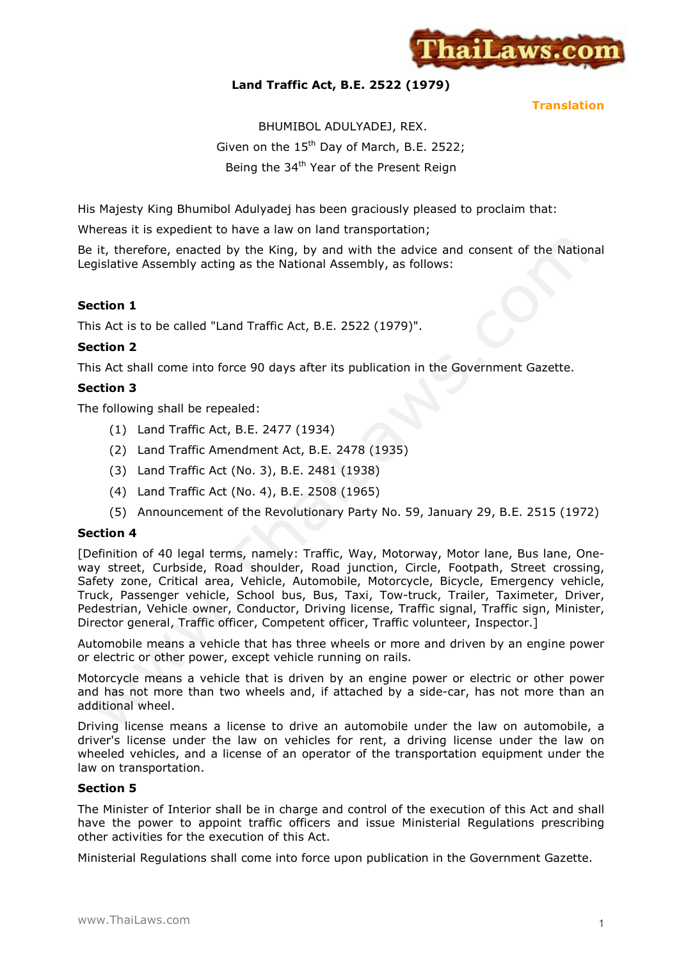

# **Land Traffic Act, B.E. 2522 (1979)**

**Translation**

# BHUMIBOL ADULYADEJ, REX. Given on the  $15<sup>th</sup>$  Day of March, B.E. 2522; Being the 34<sup>th</sup> Year of the Present Reign

His Majesty King Bhumibol Adulyadej has been graciously pleased to proclaim that:

Whereas it is expedient to have a law on land transportation;

Be it, therefore, enacted by the King, by and with the advice and consent of the National Legislative Assembly acting as the National Assembly, as follows:

# **Section 1**

This Act is to be called "Land Traffic Act, B.E. 2522 (1979)".

# **Section 2**

This Act shall come into force 90 days after its publication in the Government Gazette.

# **Section 3**

The following shall be repealed:

- (1) Land Traffic Act, B.E. 2477 (1934)
- (2) Land Traffic Amendment Act, B.E. 2478 (1935)
- (3) Land Traffic Act (No. 3), B.E. 2481 (1938)
- (4) Land Traffic Act (No. 4), B.E. 2508 (1965)
- (5) Announcement of the Revolutionary Party No. 59, January 29, B.E. 2515 (1972)

### **Section 4**

[Definition of 40 legal terms, namely: Traffic, Way, Motorway, Motor lane, Bus lane, Oneway street, Curbside, Road shoulder, Road junction, Circle, Footpath, Street crossing, Safety zone, Critical area, Vehicle, Automobile, Motorcycle, Bicycle, Emergency vehicle, Truck, Passenger vehicle, School bus, Bus, Taxi, Tow-truck, Trailer, Taximeter, Driver, Pedestrian, Vehicle owner, Conductor, Driving license, Traffic signal, Traffic sign, Minister, Director general, Traffic officer, Competent officer, Traffic volunteer, Inspector.]

Automobile means a vehicle that has three wheels or more and driven by an engine power or electric or other power, except vehicle running on rails.

Motorcycle means a vehicle that is driven by an engine power or electric or other power and has not more than two wheels and, if attached by a side-car, has not more than an additional wheel.

Driving license means a license to drive an automobile under the law on automobile, a driver's license under the law on vehicles for rent, a driving license under the law on wheeled vehicles, and a license of an operator of the transportation equipment under the law on transportation.

### **Section 5**

The Minister of Interior shall be in charge and control of the execution of this Act and shall have the power to appoint traffic officers and issue Ministerial Regulations prescribing other activities for the execution of this Act.

Ministerial Regulations shall come into force upon publication in the Government Gazette.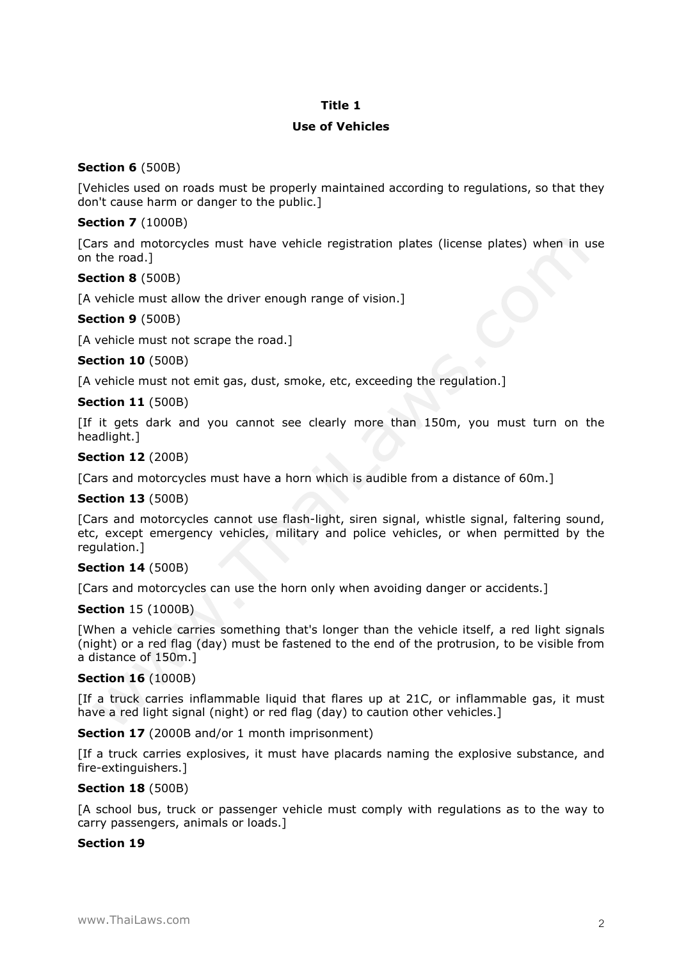# **Title 1**

# **Use of Vehicles**

# **Section 6** (500B)

[Vehicles used on roads must be properly maintained according to regulations, so that they don't cause harm or danger to the public.]

# **Section 7** (1000B)

[Cars and motorcycles must have vehicle registration plates (license plates) when in use on the road.]

# **Section 8** (500B)

[A vehicle must allow the driver enough range of vision.]

### **Section 9** (500B)

[A vehicle must not scrape the road.]

### **Section 10** (500B)

[A vehicle must not emit gas, dust, smoke, etc, exceeding the regulation.]

# **Section 11** (500B)

[If it gets dark and you cannot see clearly more than 150m, you must turn on the headlight.]

# **Section 12** (200B)

[Cars and motorcycles must have a horn which is audible from a distance of 60m.]

# **Section 13** (500B)

[Cars and motorcycles cannot use flash-light, siren signal, whistle signal, faltering sound, etc, except emergency vehicles, military and police vehicles, or when permitted by the regulation.]

# **Section 14** (500B)

[Cars and motorcycles can use the horn only when avoiding danger or accidents.]

### **Section** 15 (1000B)

[When a vehicle carries something that's longer than the vehicle itself, a red light signals (night) or a red flag (day) must be fastened to the end of the protrusion, to be visible from a distance of 150m.]

## **Section 16** (1000B)

[If a truck carries inflammable liquid that flares up at 21C, or inflammable gas, it must have a red light signal (night) or red flag (day) to caution other vehicles.

**Section 17** (2000B and/or 1 month imprisonment)

[If a truck carries explosives, it must have placards naming the explosive substance, and fire-extinguishers.]

### **Section 18** (500B)

[A school bus, truck or passenger vehicle must comply with regulations as to the way to carry passengers, animals or loads.]

### **Section 19**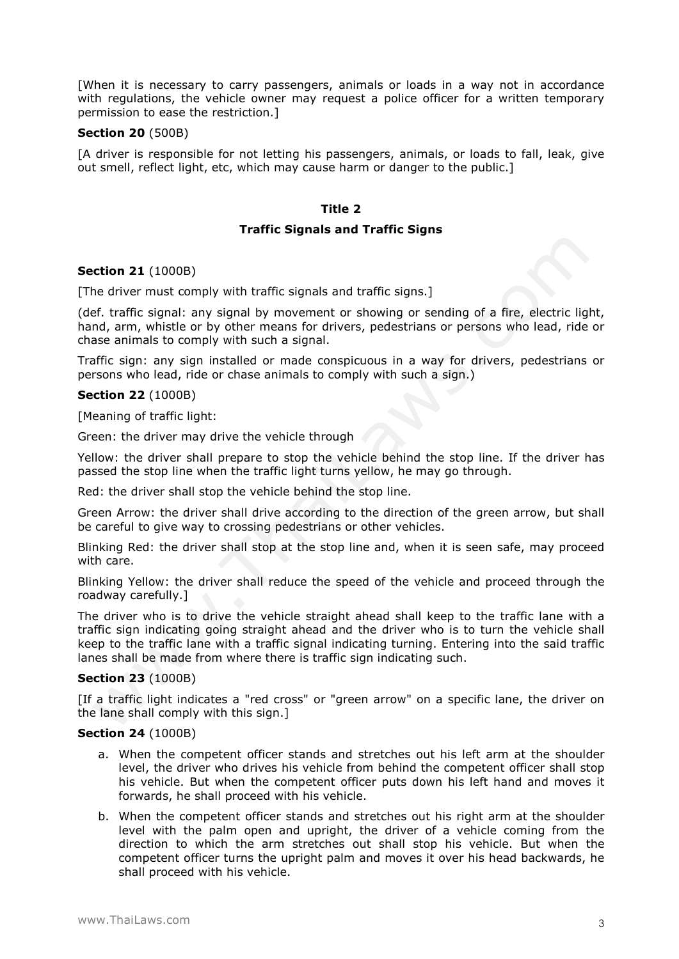[When it is necessary to carry passengers, animals or loads in a way not in accordance with regulations, the vehicle owner may request a police officer for a written temporary permission to ease the restriction.]

#### **Section 20** (500B)

[A driver is responsible for not letting his passengers, animals, or loads to fall, leak, give out smell, reflect light, etc, which may cause harm or danger to the public.]

### **Title 2**

#### **Traffic Signals and Traffic Signs**

#### **Section 21** (1000B)

[The driver must comply with traffic signals and traffic signs.]

(def. traffic signal: any signal by movement or showing or sending of a fire, electric light, hand, arm, whistle or by other means for drivers, pedestrians or persons who lead, ride or chase animals to comply with such a signal.

Traffic sign: any sign installed or made conspicuous in a way for drivers, pedestrians or persons who lead, ride or chase animals to comply with such a sign.)

#### **Section 22** (1000B)

[Meaning of traffic light:

Green: the driver may drive the vehicle through

Yellow: the driver shall prepare to stop the vehicle behind the stop line. If the driver has passed the stop line when the traffic light turns yellow, he may go through.

Red: the driver shall stop the vehicle behind the stop line.

Green Arrow: the driver shall drive according to the direction of the green arrow, but shall be careful to give way to crossing pedestrians or other vehicles.

Blinking Red: the driver shall stop at the stop line and, when it is seen safe, may proceed with care.

Blinking Yellow: the driver shall reduce the speed of the vehicle and proceed through the roadway carefully.]

The driver who is to drive the vehicle straight ahead shall keep to the traffic lane with a traffic sign indicating going straight ahead and the driver who is to turn the vehicle shall keep to the traffic lane with a traffic signal indicating turning. Entering into the said traffic lanes shall be made from where there is traffic sign indicating such.

#### **Section 23** (1000B)

[If a traffic light indicates a "red cross" or "green arrow" on a specific lane, the driver on the lane shall comply with this sign.]

#### **Section 24** (1000B)

- a. When the competent officer stands and stretches out his left arm at the shoulder level, the driver who drives his vehicle from behind the competent officer shall stop his vehicle. But when the competent officer puts down his left hand and moves it forwards, he shall proceed with his vehicle.
- b. When the competent officer stands and stretches out his right arm at the shoulder level with the palm open and upright, the driver of a vehicle coming from the direction to which the arm stretches out shall stop his vehicle. But when the competent officer turns the upright palm and moves it over his head backwards, he shall proceed with his vehicle.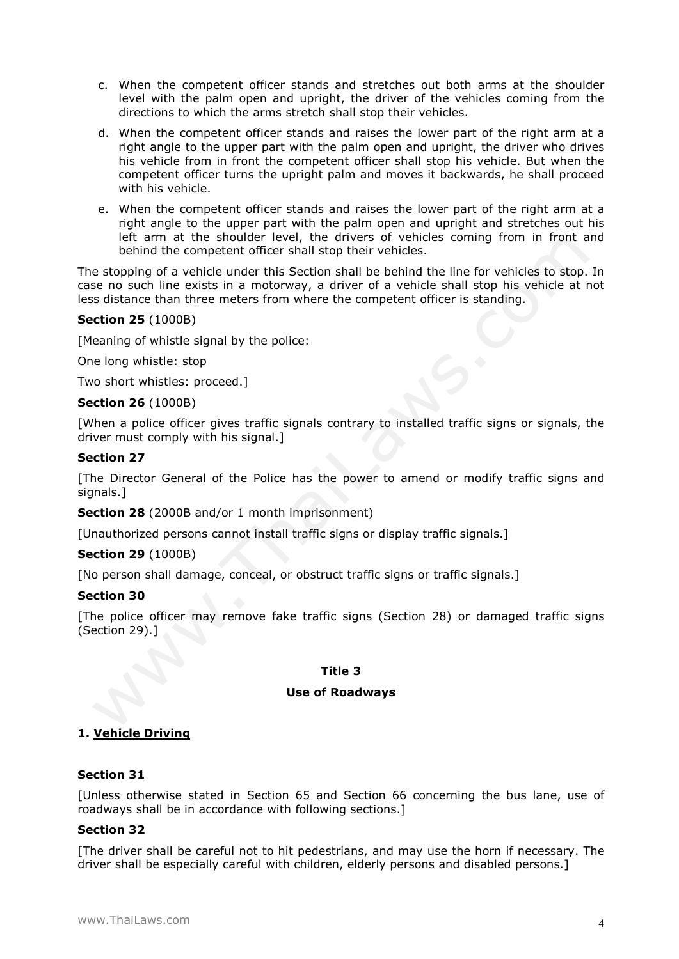- c. When the competent officer stands and stretches out both arms at the shoulder level with the palm open and upright, the driver of the vehicles coming from the directions to which the arms stretch shall stop their vehicles.
- d. When the competent officer stands and raises the lower part of the right arm at a right angle to the upper part with the palm open and upright, the driver who drives his vehicle from in front the competent officer shall stop his vehicle. But when the competent officer turns the upright palm and moves it backwards, he shall proceed with his vehicle.
- e. When the competent officer stands and raises the lower part of the right arm at a right angle to the upper part with the palm open and upright and stretches out his left arm at the shoulder level, the drivers of vehicles coming from in front and behind the competent officer shall stop their vehicles.

The stopping of a vehicle under this Section shall be behind the line for vehicles to stop. In case no such line exists in a motorway, a driver of a vehicle shall stop his vehicle at not less distance than three meters from where the competent officer is standing.

# **Section 25** (1000B)

[Meaning of whistle signal by the police:

One long whistle: stop

Two short whistles: proceed.]

### **Section 26** (1000B)

[When a police officer gives traffic signals contrary to installed traffic signs or signals, the driver must comply with his signal.]

### **Section 27**

[The Director General of the Police has the power to amend or modify traffic signs and signals.1

**Section 28** (2000B and/or 1 month imprisonment)

[Unauthorized persons cannot install traffic signs or display traffic signals.]

### **Section 29** (1000B)

[No person shall damage, conceal, or obstruct traffic signs or traffic signals.]

### **Section 30**

[The police officer may remove fake traffic signs (Section 28) or damaged traffic signs (Section 29).]

#### **Title 3**

#### **Use of Roadways**

### **1. Vehicle Driving**

### **Section 31**

[Unless otherwise stated in Section 65 and Section 66 concerning the bus lane, use of roadways shall be in accordance with following sections.]

### **Section 32**

[The driver shall be careful not to hit pedestrians, and may use the horn if necessary. The driver shall be especially careful with children, elderly persons and disabled persons.]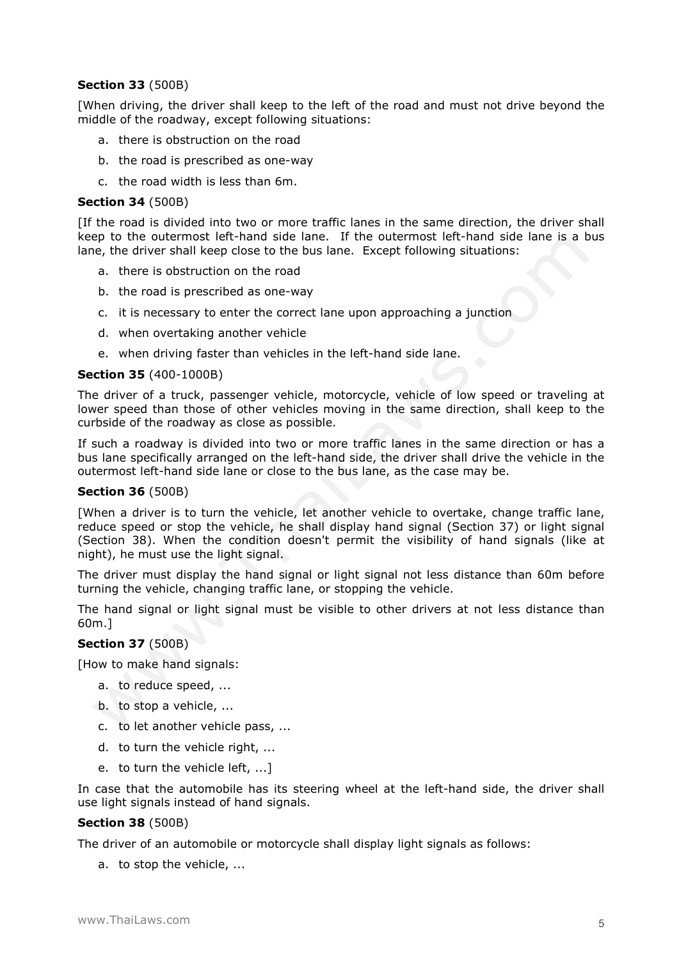# **Section 33** (500B)

[When driving, the driver shall keep to the left of the road and must not drive beyond the middle of the roadway, except following situations:

- a. there is obstruction on the road
- b. the road is prescribed as one-way
- c. the road width is less than 6m.

#### **Section 34** (500B)

[If the road is divided into two or more traffic lanes in the same direction, the driver shall keep to the outermost left-hand side lane. If the outermost left-hand side lane is a bus lane, the driver shall keep close to the bus lane. Except following situations:

- a. there is obstruction on the road
- b. the road is prescribed as one-way
- c. it is necessary to enter the correct lane upon approaching a junction
- d. when overtaking another vehicle
- e. when driving faster than vehicles in the left-hand side lane.

#### **Section 35** (400-1000B)

The driver of a truck, passenger vehicle, motorcycle, vehicle of low speed or traveling at lower speed than those of other vehicles moving in the same direction, shall keep to the curbside of the roadway as close as possible.

If such a roadway is divided into two or more traffic lanes in the same direction or has a bus lane specifically arranged on the left-hand side, the driver shall drive the vehicle in the outermost left-hand side lane or close to the bus lane, as the case may be.

#### **Section 36** (500B)

[When a driver is to turn the vehicle, let another vehicle to overtake, change traffic lane, reduce speed or stop the vehicle, he shall display hand signal (Section 37) or light signal (Section 38). When the condition doesn't permit the visibility of hand signals (like at night), he must use the light signal.

The driver must display the hand signal or light signal not less distance than 60m before turning the vehicle, changing traffic lane, or stopping the vehicle.

The hand signal or light signal must be visible to other drivers at not less distance than 60m.]

## **Section 37** (500B)

[How to make hand signals:

- a. to reduce speed, ...
- b. to stop a vehicle, ...
- c. to let another vehicle pass, ...
- d. to turn the vehicle right, ...
- e. to turn the vehicle left, ...]

In case that the automobile has its steering wheel at the left-hand side, the driver shall use light signals instead of hand signals.

### **Section 38** (500B)

The driver of an automobile or motorcycle shall display light signals as follows:

a. to stop the vehicle, ...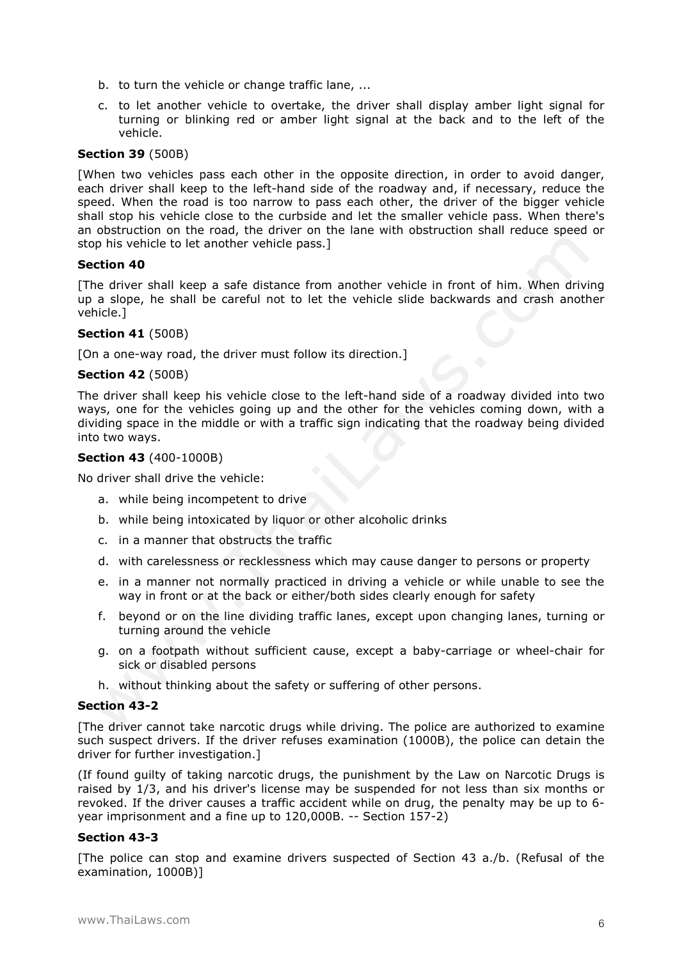- b. to turn the vehicle or change traffic lane, ...
- c. to let another vehicle to overtake, the driver shall display amber light signal for turning or blinking red or amber light signal at the back and to the left of the vehicle.

# **Section 39** (500B)

[When two vehicles pass each other in the opposite direction, in order to avoid danger, each driver shall keep to the left-hand side of the roadway and, if necessary, reduce the speed. When the road is too narrow to pass each other, the driver of the bigger vehicle shall stop his vehicle close to the curbside and let the smaller vehicle pass. When there's an obstruction on the road, the driver on the lane with obstruction shall reduce speed or stop his vehicle to let another vehicle pass.]

#### **Section 40**

[The driver shall keep a safe distance from another vehicle in front of him. When driving up a slope, he shall be careful not to let the vehicle slide backwards and crash another vehicle.]

### **Section 41** (500B)

[On a one-way road, the driver must follow its direction.]

### **Section 42** (500B)

The driver shall keep his vehicle close to the left-hand side of a roadway divided into two ways, one for the vehicles going up and the other for the vehicles coming down, with a dividing space in the middle or with a traffic sign indicating that the roadway being divided into two ways.

#### **Section 43** (400-1000B)

No driver shall drive the vehicle:

- a. while being incompetent to drive
- b. while being intoxicated by liquor or other alcoholic drinks
- c. in a manner that obstructs the traffic
- d. with carelessness or recklessness which may cause danger to persons or property
- e. in a manner not normally practiced in driving a vehicle or while unable to see the way in front or at the back or either/both sides clearly enough for safety
- f. beyond or on the line dividing traffic lanes, except upon changing lanes, turning or turning around the vehicle
- g. on a footpath without sufficient cause, except a baby-carriage or wheel-chair for sick or disabled persons
- h. without thinking about the safety or suffering of other persons.

### **Section 43-2**

[The driver cannot take narcotic drugs while driving. The police are authorized to examine such suspect drivers. If the driver refuses examination (1000B), the police can detain the driver for further investigation.]

(If found guilty of taking narcotic drugs, the punishment by the Law on Narcotic Drugs is raised by 1/3, and his driver's license may be suspended for not less than six months or revoked. If the driver causes a traffic accident while on drug, the penalty may be up to 6 year imprisonment and a fine up to 120,000B. -- Section 157-2)

### **Section 43-3**

[The police can stop and examine drivers suspected of Section 43 a./b. (Refusal of the examination, 1000B)]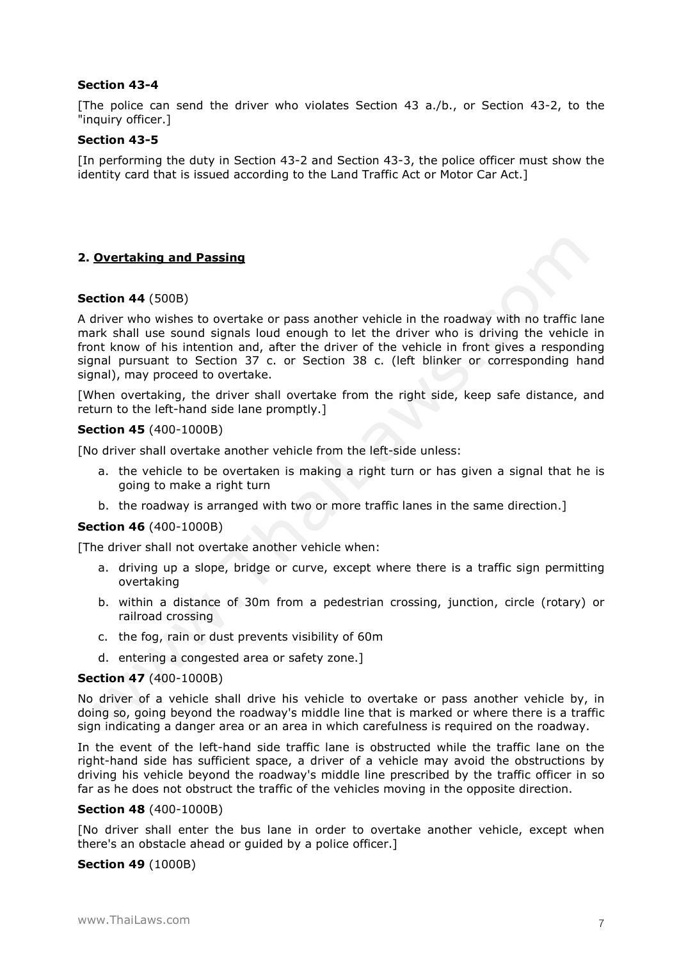### **Section 43-4**

[The police can send the driver who violates Section 43 a./b., or Section 43-2, to the "inquiry officer.]

#### **Section 43-5**

[In performing the duty in Section 43-2 and Section 43-3, the police officer must show the identity card that is issued according to the Land Traffic Act or Motor Car Act.]

# **2. Overtaking and Passing**

#### **Section 44** (500B)

A driver who wishes to overtake or pass another vehicle in the roadway with no traffic lane mark shall use sound signals loud enough to let the driver who is driving the vehicle in front know of his intention and, after the driver of the vehicle in front gives a responding signal pursuant to Section 37 c. or Section 38 c. (left blinker or corresponding hand signal), may proceed to overtake.

[When overtaking, the driver shall overtake from the right side, keep safe distance, and return to the left-hand side lane promptly.]

#### **Section 45** (400-1000B)

[No driver shall overtake another vehicle from the left-side unless:

- a. the vehicle to be overtaken is making a right turn or has given a signal that he is going to make a right turn
- b. the roadway is arranged with two or more traffic lanes in the same direction.]

#### **Section 46** (400-1000B)

[The driver shall not overtake another vehicle when:

- a. driving up a slope, bridge or curve, except where there is a traffic sign permitting overtaking
- b. within a distance of 30m from a pedestrian crossing, junction, circle (rotary) or railroad crossing
- c. the fog, rain or dust prevents visibility of 60m
- d. entering a congested area or safety zone.]

#### **Section 47** (400-1000B)

No driver of a vehicle shall drive his vehicle to overtake or pass another vehicle by, in doing so, going beyond the roadway's middle line that is marked or where there is a traffic sign indicating a danger area or an area in which carefulness is required on the roadway.

In the event of the left-hand side traffic lane is obstructed while the traffic lane on the right-hand side has sufficient space, a driver of a vehicle may avoid the obstructions by driving his vehicle beyond the roadway's middle line prescribed by the traffic officer in so far as he does not obstruct the traffic of the vehicles moving in the opposite direction.

#### **Section 48** (400-1000B)

[No driver shall enter the bus lane in order to overtake another vehicle, except when there's an obstacle ahead or guided by a police officer.]

### **Section 49** (1000B)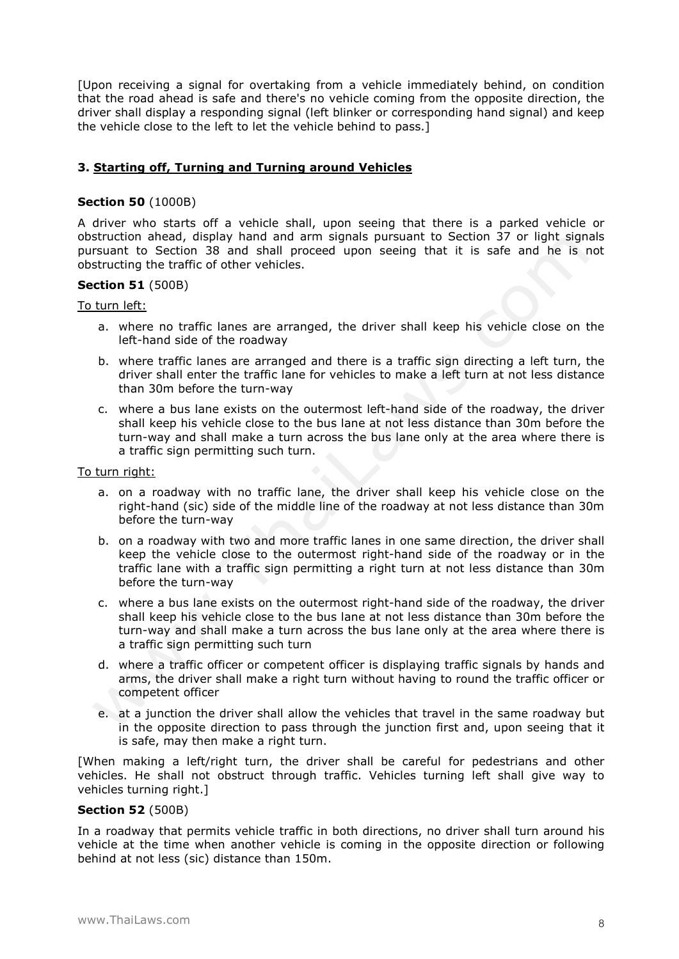[Upon receiving a signal for overtaking from a vehicle immediately behind, on condition that the road ahead is safe and there's no vehicle coming from the opposite direction, the driver shall display a responding signal (left blinker or corresponding hand signal) and keep the vehicle close to the left to let the vehicle behind to pass.]

# **3. Starting off, Turning and Turning around Vehicles**

## **Section 50** (1000B)

A driver who starts off a vehicle shall, upon seeing that there is a parked vehicle or obstruction ahead, display hand and arm signals pursuant to Section 37 or light signals pursuant to Section 38 and shall proceed upon seeing that it is safe and he is not obstructing the traffic of other vehicles.

# **Section 51** (500B)

### To turn left:

- a. where no traffic lanes are arranged, the driver shall keep his vehicle close on the left-hand side of the roadway
- b. where traffic lanes are arranged and there is a traffic sign directing a left turn, the driver shall enter the traffic lane for vehicles to make a left turn at not less distance than 30m before the turn-way
- c. where a bus lane exists on the outermost left-hand side of the roadway, the driver shall keep his vehicle close to the bus lane at not less distance than 30m before the turn-way and shall make a turn across the bus lane only at the area where there is a traffic sign permitting such turn.

#### To turn right:

- a. on a roadway with no traffic lane, the driver shall keep his vehicle close on the right-hand (sic) side of the middle line of the roadway at not less distance than 30m before the turn-way
- b. on a roadway with two and more traffic lanes in one same direction, the driver shall keep the vehicle close to the outermost right-hand side of the roadway or in the traffic lane with a traffic sign permitting a right turn at not less distance than 30m before the turn-way
- c. where a bus lane exists on the outermost right-hand side of the roadway, the driver shall keep his vehicle close to the bus lane at not less distance than 30m before the turn-way and shall make a turn across the bus lane only at the area where there is a traffic sign permitting such turn
- d. where a traffic officer or competent officer is displaying traffic signals by hands and arms, the driver shall make a right turn without having to round the traffic officer or competent officer
- e. at a junction the driver shall allow the vehicles that travel in the same roadway but in the opposite direction to pass through the junction first and, upon seeing that it is safe, may then make a right turn.

[When making a left/right turn, the driver shall be careful for pedestrians and other vehicles. He shall not obstruct through traffic. Vehicles turning left shall give way to vehicles turning right.]

### **Section 52** (500B)

In a roadway that permits vehicle traffic in both directions, no driver shall turn around his vehicle at the time when another vehicle is coming in the opposite direction or following behind at not less (sic) distance than 150m.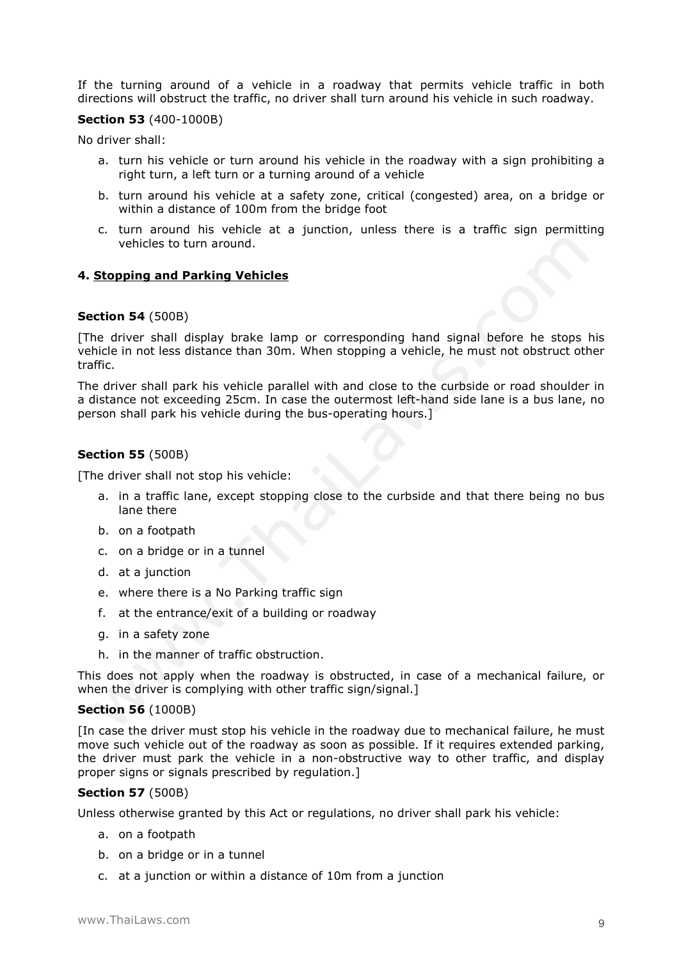If the turning around of a vehicle in a roadway that permits vehicle traffic in both directions will obstruct the traffic, no driver shall turn around his vehicle in such roadway.

#### **Section 53** (400-1000B)

No driver shall:

- a. turn his vehicle or turn around his vehicle in the roadway with a sign prohibiting a right turn, a left turn or a turning around of a vehicle
- b. turn around his vehicle at a safety zone, critical (congested) area, on a bridge or within a distance of 100m from the bridge foot
- c. turn around his vehicle at a junction, unless there is a traffic sign permitting vehicles to turn around.

### **4. Stopping and Parking Vehicles**

### **Section 54** (500B)

[The driver shall display brake lamp or corresponding hand signal before he stops his vehicle in not less distance than 30m. When stopping a vehicle, he must not obstruct other traffic.

The driver shall park his vehicle parallel with and close to the curbside or road shoulder in a distance not exceeding 25cm. In case the outermost left-hand side lane is a bus lane, no person shall park his vehicle during the bus-operating hours.]

# **Section 55** (500B)

[The driver shall not stop his vehicle:

- a. in a traffic lane, except stopping close to the curbside and that there being no bus lane there
- b. on a footpath
- c. on a bridge or in a tunnel
- d. at a junction
- e. where there is a No Parking traffic sign
- f. at the entrance/exit of a building or roadway
- g. in a safety zone
- h. in the manner of traffic obstruction.

This does not apply when the roadway is obstructed, in case of a mechanical failure, or when the driver is complying with other traffic sign/signal.]

#### **Section 56** (1000B)

[In case the driver must stop his vehicle in the roadway due to mechanical failure, he must move such vehicle out of the roadway as soon as possible. If it requires extended parking, the driver must park the vehicle in a non-obstructive way to other traffic, and display proper signs or signals prescribed by regulation.]

### **Section 57** (500B)

Unless otherwise granted by this Act or regulations, no driver shall park his vehicle:

- a. on a footpath
- b. on a bridge or in a tunnel
- c. at a junction or within a distance of 10m from a junction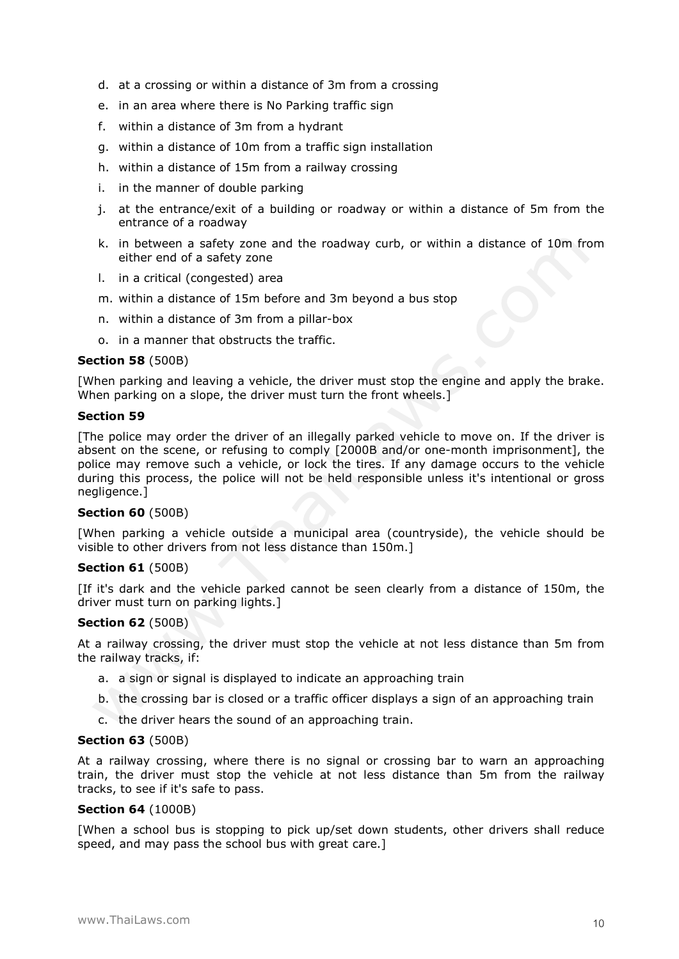- d. at a crossing or within a distance of 3m from a crossing
- e. in an area where there is No Parking traffic sign
- f. within a distance of 3m from a hydrant
- g. within a distance of 10m from a traffic sign installation
- h. within a distance of 15m from a railway crossing
- i. in the manner of double parking
- j. at the entrance/exit of a building or roadway or within a distance of 5m from the entrance of a roadway
- k. in between a safety zone and the roadway curb, or within a distance of 10m from either end of a safety zone
- l. in a critical (congested) area
- m. within a distance of 15m before and 3m beyond a bus stop
- n. within a distance of 3m from a pillar-box
- o. in a manner that obstructs the traffic.

#### **Section 58** (500B)

[When parking and leaving a vehicle, the driver must stop the engine and apply the brake. When parking on a slope, the driver must turn the front wheels.]

#### **Section 59**

[The police may order the driver of an illegally parked vehicle to move on. If the driver is absent on the scene, or refusing to comply [2000B and/or one-month imprisonment], the police may remove such a vehicle, or lock the tires. If any damage occurs to the vehicle during this process, the police will not be held responsible unless it's intentional or gross negligence.]

#### **Section 60** (500B)

[When parking a vehicle outside a municipal area (countryside), the vehicle should be visible to other drivers from not less distance than 150m.]

#### **Section 61** (500B)

[If it's dark and the vehicle parked cannot be seen clearly from a distance of 150m, the driver must turn on parking lights.]

#### **Section 62** (500B)

At a railway crossing, the driver must stop the vehicle at not less distance than 5m from the railway tracks, if:

- a. a sign or signal is displayed to indicate an approaching train
- b. the crossing bar is closed or a traffic officer displays a sign of an approaching train
- c. the driver hears the sound of an approaching train.

#### **Section 63** (500B)

At a railway crossing, where there is no signal or crossing bar to warn an approaching train, the driver must stop the vehicle at not less distance than 5m from the railway tracks, to see if it's safe to pass.

#### **Section 64** (1000B)

[When a school bus is stopping to pick up/set down students, other drivers shall reduce speed, and may pass the school bus with great care.]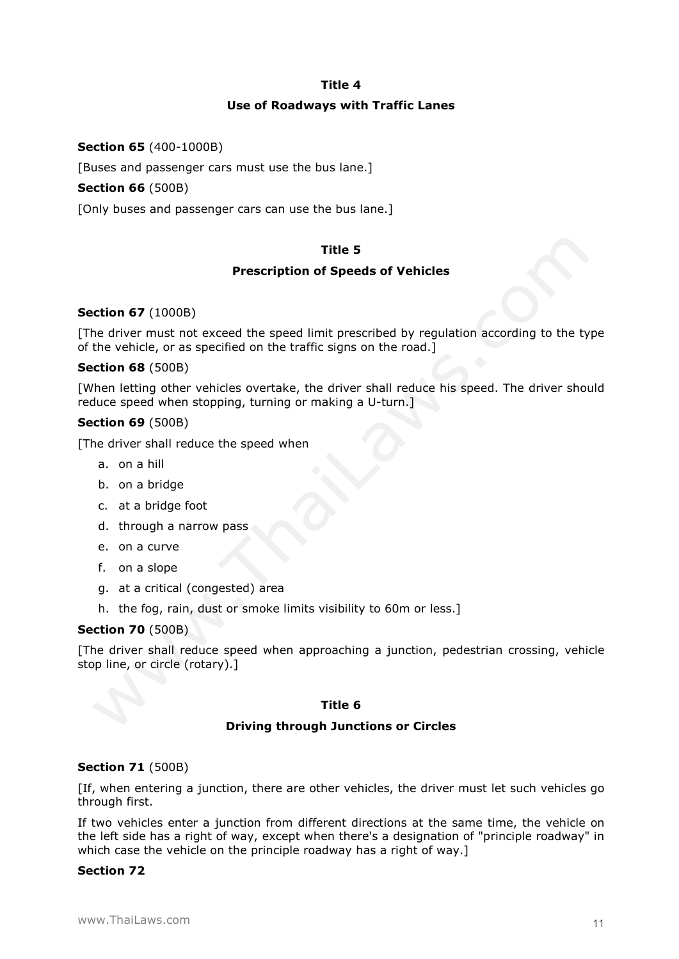#### **Title 4**

### **Use of Roadways with Traffic Lanes**

## **Section 65** (400-1000B)

[Buses and passenger cars must use the bus lane.]

## **Section 66** (500B)

[Only buses and passenger cars can use the bus lane.]

# **Title 5**

### **Prescription of Speeds of Vehicles**

### **Section 67** (1000B)

[The driver must not exceed the speed limit prescribed by regulation according to the type of the vehicle, or as specified on the traffic signs on the road.]

### **Section 68** (500B)

[When letting other vehicles overtake, the driver shall reduce his speed. The driver should reduce speed when stopping, turning or making a U-turn.]

### **Section 69** (500B)

[The driver shall reduce the speed when

- a. on a hill
- b. on a bridge
- c. at a bridge foot
- d. through a narrow pass
- e. on a curve
- f. on a slope
- g. at a critical (congested) area
- h. the fog, rain, dust or smoke limits visibility to 60m or less.]

### **Section 70** (500B)

[The driver shall reduce speed when approaching a junction, pedestrian crossing, vehicle stop line, or circle (rotary).]

### **Title 6**

### **Driving through Junctions or Circles**

### **Section 71** (500B)

[If, when entering a junction, there are other vehicles, the driver must let such vehicles go through first.

If two vehicles enter a junction from different directions at the same time, the vehicle on the left side has a right of way, except when there's a designation of "principle roadway" in which case the vehicle on the principle roadway has a right of way.]

### **Section 72**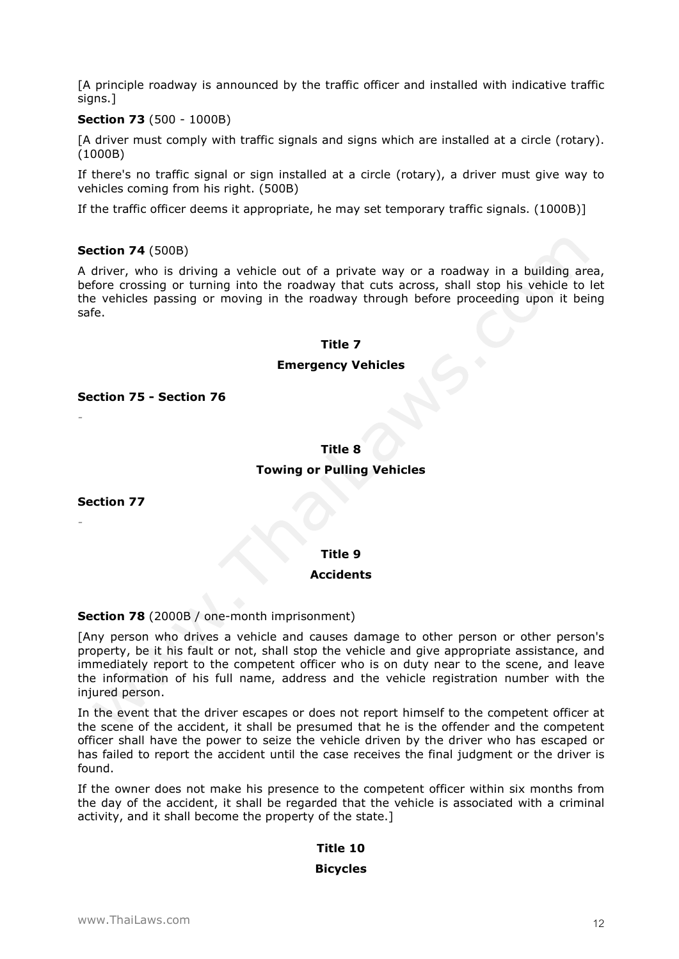[A principle roadway is announced by the traffic officer and installed with indicative traffic signs.1

### **Section 73** (500 - 1000B)

[A driver must comply with traffic signals and signs which are installed at a circle (rotary). (1000B)

If there's no traffic signal or sign installed at a circle (rotary), a driver must give way to vehicles coming from his right. (500B)

If the traffic officer deems it appropriate, he may set temporary traffic signals. (1000B)]

### **Section 74** (500B)

A driver, who is driving a vehicle out of a private way or a roadway in a building area, before crossing or turning into the roadway that cuts across, shall stop his vehicle to let the vehicles passing or moving in the roadway through before proceeding upon it being safe.

# **Title 7**

### **Emergency Vehicles**

**Section 75 - Section 76**

#### **Title 8**

### **Towing or Pulling Vehicles**

**Section 77** 

*-* 

*-* 

#### **Title 9**

#### **Accidents**

### **Section 78** (2000B / one-month imprisonment)

[Any person who drives a vehicle and causes damage to other person or other person's property, be it his fault or not, shall stop the vehicle and give appropriate assistance, and immediately report to the competent officer who is on duty near to the scene, and leave the information of his full name, address and the vehicle registration number with the injured person.

In the event that the driver escapes or does not report himself to the competent officer at the scene of the accident, it shall be presumed that he is the offender and the competent officer shall have the power to seize the vehicle driven by the driver who has escaped or has failed to report the accident until the case receives the final judgment or the driver is found.

If the owner does not make his presence to the competent officer within six months from the day of the accident, it shall be regarded that the vehicle is associated with a criminal activity, and it shall become the property of the state.]

# **Title 10**

### **Bicycles**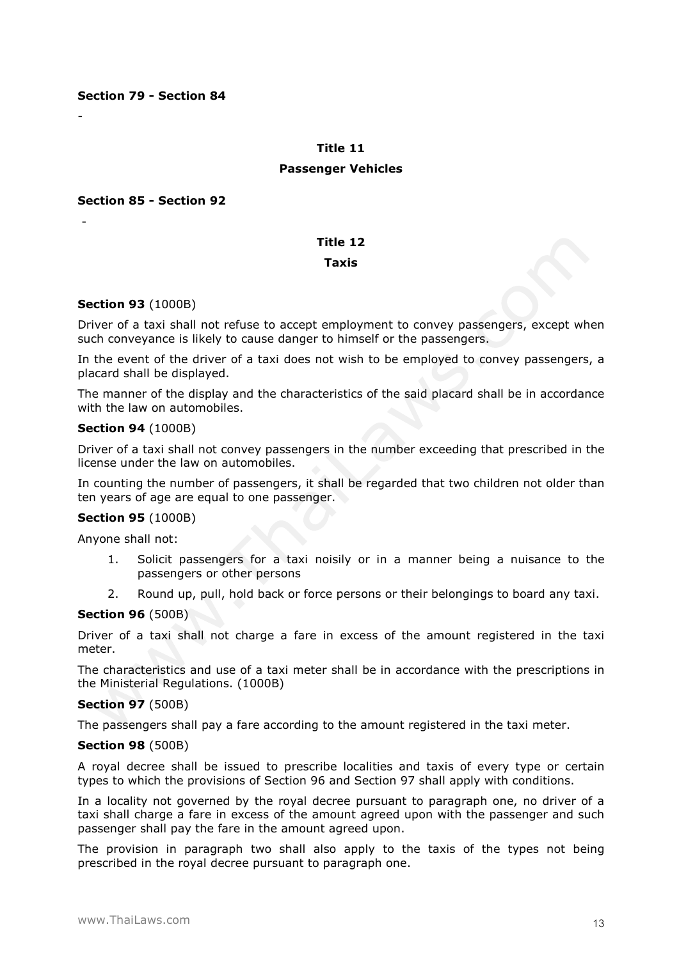#### **Section 79 - Section 84**

-

-

#### **Title 11**

#### **Passenger Vehicles**

#### **Section 85 - Section 92**

# **Title 12**

#### **Taxis**

#### **Section 93** (1000B)

Driver of a taxi shall not refuse to accept employment to convey passengers, except when such conveyance is likely to cause danger to himself or the passengers.

In the event of the driver of a taxi does not wish to be employed to convey passengers, a placard shall be displayed.

The manner of the display and the characteristics of the said placard shall be in accordance with the law on automobiles.

#### **Section 94** (1000B)

Driver of a taxi shall not convey passengers in the number exceeding that prescribed in the license under the law on automobiles.

In counting the number of passengers, it shall be regarded that two children not older than ten years of age are equal to one passenger.

## **Section 95** (1000B)

Anyone shall not:

- 1. Solicit passengers for a taxi noisily or in a manner being a nuisance to the passengers or other persons
- 2. Round up, pull, hold back or force persons or their belongings to board any taxi.

#### **Section 96** (500B)

Driver of a taxi shall not charge a fare in excess of the amount registered in the taxi meter.

The characteristics and use of a taxi meter shall be in accordance with the prescriptions in the Ministerial Regulations. (1000B)

#### **Section 97** (500B)

The passengers shall pay a fare according to the amount registered in the taxi meter.

#### **Section 98** (500B)

A royal decree shall be issued to prescribe localities and taxis of every type or certain types to which the provisions of Section 96 and Section 97 shall apply with conditions.

In a locality not governed by the royal decree pursuant to paragraph one, no driver of a taxi shall charge a fare in excess of the amount agreed upon with the passenger and such passenger shall pay the fare in the amount agreed upon.

The provision in paragraph two shall also apply to the taxis of the types not being prescribed in the royal decree pursuant to paragraph one.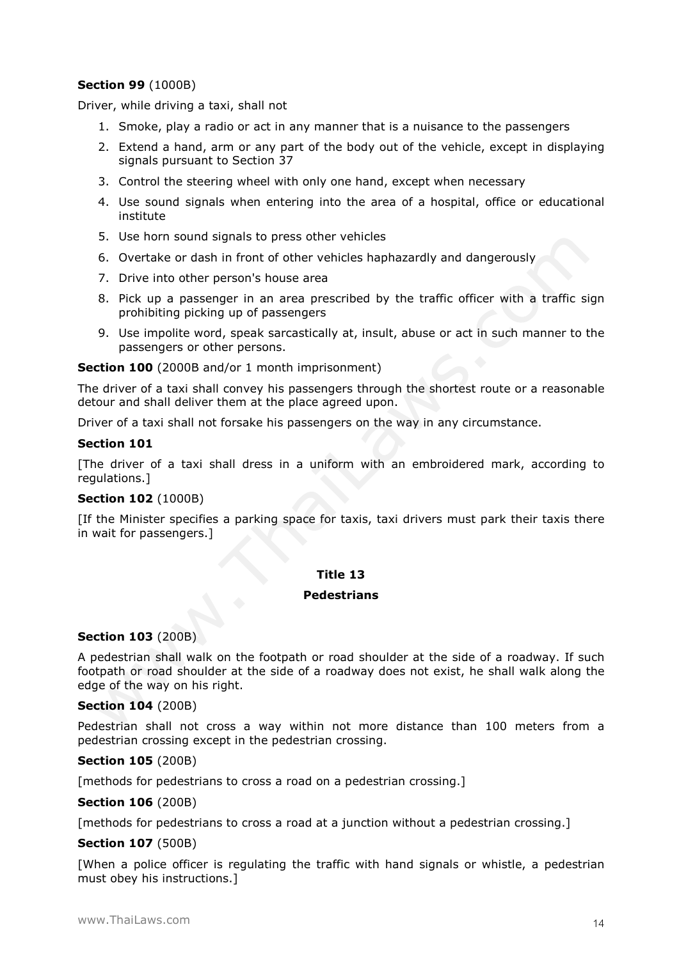# **Section 99** (1000B)

Driver, while driving a taxi, shall not

- 1. Smoke, play a radio or act in any manner that is a nuisance to the passengers
- 2. Extend a hand, arm or any part of the body out of the vehicle, except in displaying signals pursuant to Section 37
- 3. Control the steering wheel with only one hand, except when necessary
- 4. Use sound signals when entering into the area of a hospital, office or educational institute
- 5. Use horn sound signals to press other vehicles
- 6. Overtake or dash in front of other vehicles haphazardly and dangerously
- 7. Drive into other person's house area
- 8. Pick up a passenger in an area prescribed by the traffic officer with a traffic sign prohibiting picking up of passengers
- 9. Use impolite word, speak sarcastically at, insult, abuse or act in such manner to the passengers or other persons.

**Section 100** (2000B and/or 1 month imprisonment)

The driver of a taxi shall convey his passengers through the shortest route or a reasonable detour and shall deliver them at the place agreed upon.

Driver of a taxi shall not forsake his passengers on the way in any circumstance.

#### **Section 101**

[The driver of a taxi shall dress in a uniform with an embroidered mark, according to regulations.]

#### **Section 102** (1000B)

[If the Minister specifies a parking space for taxis, taxi drivers must park their taxis there in wait for passengers.]

### **Title 13**

#### **Pedestrians**

#### **Section 103** (200B)

A pedestrian shall walk on the footpath or road shoulder at the side of a roadway. If such footpath or road shoulder at the side of a roadway does not exist, he shall walk along the edge of the way on his right.

#### **Section 104** (200B)

Pedestrian shall not cross a way within not more distance than 100 meters from a pedestrian crossing except in the pedestrian crossing.

#### **Section 105** (200B)

[methods for pedestrians to cross a road on a pedestrian crossing.]

#### **Section 106** (200B)

[methods for pedestrians to cross a road at a junction without a pedestrian crossing.]

#### **Section 107** (500B)

[When a police officer is regulating the traffic with hand signals or whistle, a pedestrian must obey his instructions.]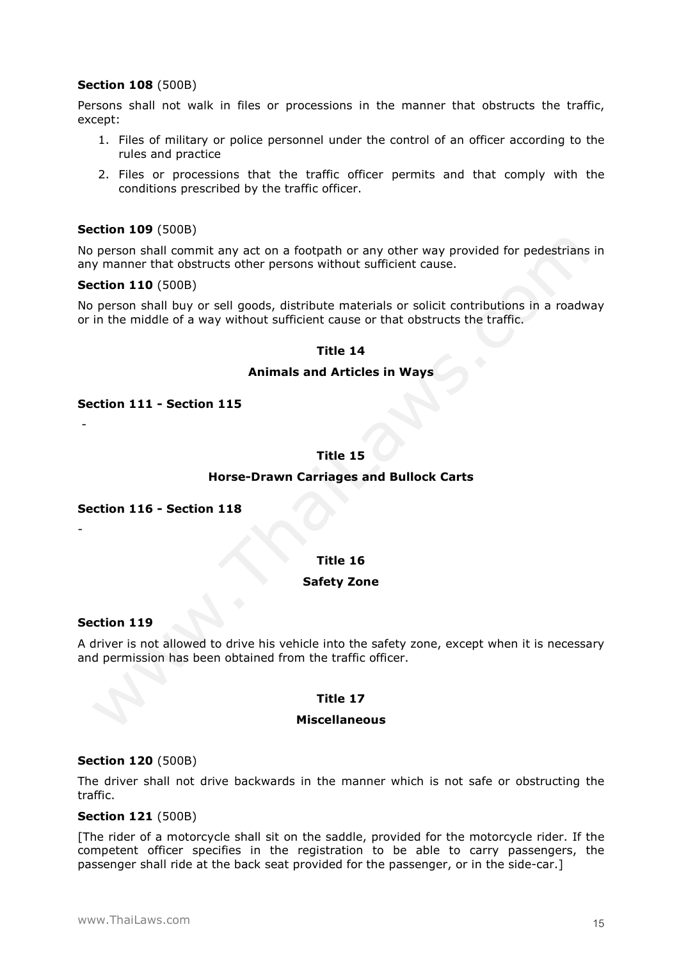## **Section 108** (500B)

Persons shall not walk in files or processions in the manner that obstructs the traffic, except:

- 1. Files of military or police personnel under the control of an officer according to the rules and practice
- 2. Files or processions that the traffic officer permits and that comply with the conditions prescribed by the traffic officer.

### **Section 109** (500B)

No person shall commit any act on a footpath or any other way provided for pedestrians in any manner that obstructs other persons without sufficient cause.

#### **Section 110** (500B)

No person shall buy or sell goods, distribute materials or solicit contributions in a roadway or in the middle of a way without sufficient cause or that obstructs the traffic.

#### **Title 14**

#### **Animals and Articles in Ways**

**Section 111 - Section 115**

# **Title 15**

#### **Horse-Drawn Carriages and Bullock Carts**

**Section 116 - Section 118**

## **Title 16**

#### **Safety Zone**

#### **Section 119**

-

-

A driver is not allowed to drive his vehicle into the safety zone, except when it is necessary and permission has been obtained from the traffic officer.

### **Title 17**

#### **Miscellaneous**

#### **Section 120** (500B)

The driver shall not drive backwards in the manner which is not safe or obstructing the traffic.

### **Section 121** (500B)

[The rider of a motorcycle shall sit on the saddle, provided for the motorcycle rider. If the competent officer specifies in the registration to be able to carry passengers, the passenger shall ride at the back seat provided for the passenger, or in the side-car.]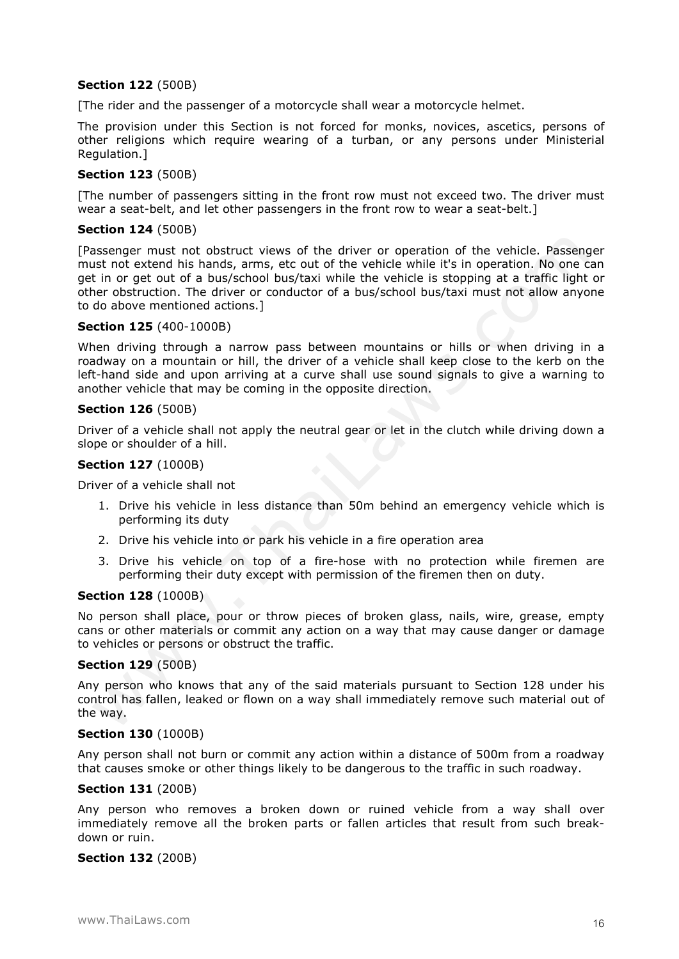# **Section 122** (500B)

[The rider and the passenger of a motorcycle shall wear a motorcycle helmet.

The provision under this Section is not forced for monks, novices, ascetics, persons of other religions which require wearing of a turban, or any persons under Ministerial Regulation.]

### **Section 123** (500B)

[The number of passengers sitting in the front row must not exceed two. The driver must wear a seat-belt, and let other passengers in the front row to wear a seat-belt.]

#### **Section 124** (500B)

[Passenger must not obstruct views of the driver or operation of the vehicle. Passenger must not extend his hands, arms, etc out of the vehicle while it's in operation. No one can get in or get out of a bus/school bus/taxi while the vehicle is stopping at a traffic light or other obstruction. The driver or conductor of a bus/school bus/taxi must not allow anyone to do above mentioned actions.]

#### **Section 125** (400-1000B)

When driving through a narrow pass between mountains or hills or when driving in a roadway on a mountain or hill, the driver of a vehicle shall keep close to the kerb on the left-hand side and upon arriving at a curve shall use sound signals to give a warning to another vehicle that may be coming in the opposite direction.

#### **Section 126** (500B)

Driver of a vehicle shall not apply the neutral gear or let in the clutch while driving down a slope or shoulder of a hill.

#### **Section 127** (1000B)

Driver of a vehicle shall not

- 1. Drive his vehicle in less distance than 50m behind an emergency vehicle which is performing its duty
- 2. Drive his vehicle into or park his vehicle in a fire operation area
- 3. Drive his vehicle on top of a fire-hose with no protection while firemen are performing their duty except with permission of the firemen then on duty.

#### **Section 128** (1000B)

No person shall place, pour or throw pieces of broken glass, nails, wire, grease, empty cans or other materials or commit any action on a way that may cause danger or damage to vehicles or persons or obstruct the traffic.

### **Section 129** (500B)

Any person who knows that any of the said materials pursuant to Section 128 under his control has fallen, leaked or flown on a way shall immediately remove such material out of the way.

#### **Section 130** (1000B)

Any person shall not burn or commit any action within a distance of 500m from a roadway that causes smoke or other things likely to be dangerous to the traffic in such roadway.

#### **Section 131** (200B)

Any person who removes a broken down or ruined vehicle from a way shall over immediately remove all the broken parts or fallen articles that result from such breakdown or ruin.

### **Section 132** (200B)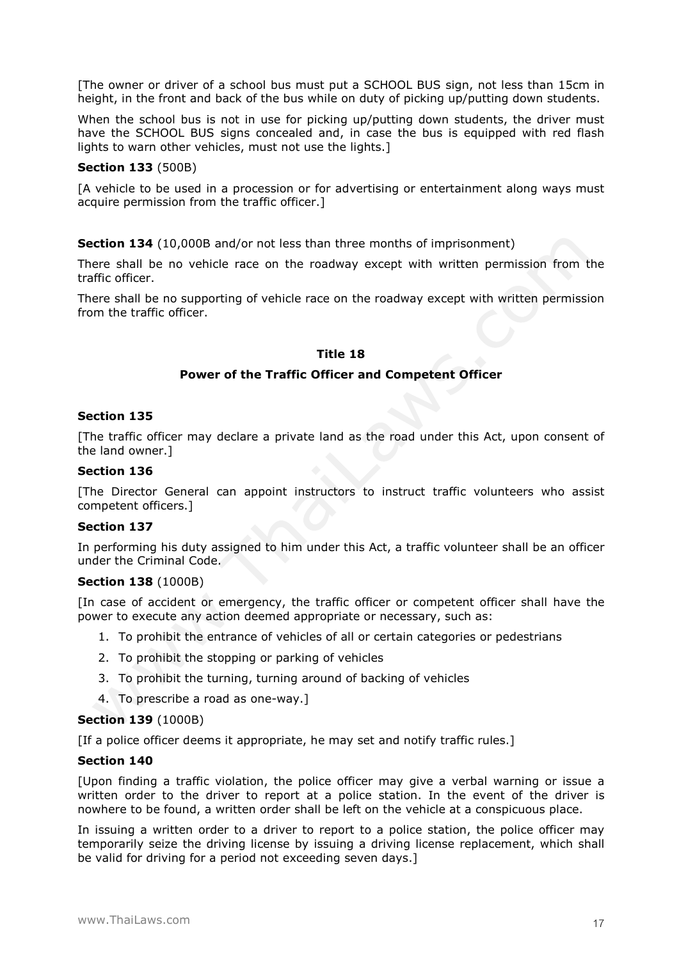[The owner or driver of a school bus must put a SCHOOL BUS sign, not less than 15cm in height, in the front and back of the bus while on duty of picking up/putting down students.

When the school bus is not in use for picking up/putting down students, the driver must have the SCHOOL BUS signs concealed and, in case the bus is equipped with red flash lights to warn other vehicles, must not use the lights.]

### **Section 133** (500B)

[A vehicle to be used in a procession or for advertising or entertainment along ways must acquire permission from the traffic officer.]

**Section 134** (10,000B and/or not less than three months of imprisonment)

There shall be no vehicle race on the roadway except with written permission from the traffic officer.

There shall be no supporting of vehicle race on the roadway except with written permission from the traffic officer.

#### **Title 18**

#### **Power of the Traffic Officer and Competent Officer**

#### **Section 135**

[The traffic officer may declare a private land as the road under this Act, upon consent of the land owner.]

#### **Section 136**

[The Director General can appoint instructors to instruct traffic volunteers who assist competent officers.]

#### **Section 137**

In performing his duty assigned to him under this Act, a traffic volunteer shall be an officer under the Criminal Code.

#### **Section 138** (1000B)

[In case of accident or emergency, the traffic officer or competent officer shall have the power to execute any action deemed appropriate or necessary, such as:

- 1. To prohibit the entrance of vehicles of all or certain categories or pedestrians
- 2. To prohibit the stopping or parking of vehicles
- 3. To prohibit the turning, turning around of backing of vehicles
- 4. To prescribe a road as one-way.]

#### **Section 139** (1000B)

[If a police officer deems it appropriate, he may set and notify traffic rules.]

### **Section 140**

[Upon finding a traffic violation, the police officer may give a verbal warning or issue a written order to the driver to report at a police station. In the event of the driver is nowhere to be found, a written order shall be left on the vehicle at a conspicuous place.

In issuing a written order to a driver to report to a police station, the police officer may temporarily seize the driving license by issuing a driving license replacement, which shall be valid for driving for a period not exceeding seven days.]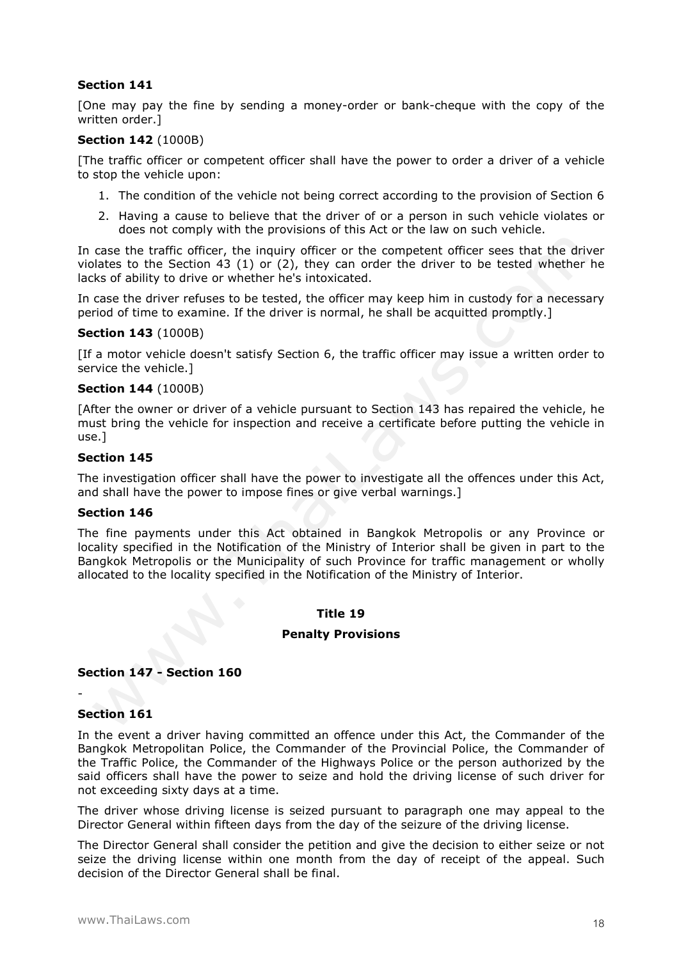## **Section 141**

[One may pay the fine by sending a money-order or bank-cheque with the copy of the written order.]

## **Section 142** (1000B)

[The traffic officer or competent officer shall have the power to order a driver of a vehicle to stop the vehicle upon:

- 1. The condition of the vehicle not being correct according to the provision of Section 6
- 2. Having a cause to believe that the driver of or a person in such vehicle violates or does not comply with the provisions of this Act or the law on such vehicle.

In case the traffic officer, the inquiry officer or the competent officer sees that the driver violates to the Section 43 (1) or (2), they can order the driver to be tested whether he lacks of ability to drive or whether he's intoxicated.

In case the driver refuses to be tested, the officer may keep him in custody for a necessary period of time to examine. If the driver is normal, he shall be acquitted promptly.]

### **Section 143** (1000B)

[If a motor vehicle doesn't satisfy Section 6, the traffic officer may issue a written order to service the vehicle.]

#### **Section 144** (1000B)

[After the owner or driver of a vehicle pursuant to Section 143 has repaired the vehicle, he must bring the vehicle for inspection and receive a certificate before putting the vehicle in use.]

#### **Section 145**

The investigation officer shall have the power to investigate all the offences under this Act, and shall have the power to impose fines or give verbal warnings.]

#### **Section 146**

The fine payments under this Act obtained in Bangkok Metropolis or any Province or locality specified in the Notification of the Ministry of Interior shall be given in part to the Bangkok Metropolis or the Municipality of such Province for traffic management or wholly allocated to the locality specified in the Notification of the Ministry of Interior.

### **Title 19**

#### **Penalty Provisions**

### **Section 147 - Section 160**

### **Section 161**

-

In the event a driver having committed an offence under this Act, the Commander of the Bangkok Metropolitan Police, the Commander of the Provincial Police, the Commander of the Traffic Police, the Commander of the Highways Police or the person authorized by the said officers shall have the power to seize and hold the driving license of such driver for not exceeding sixty days at a time.

The driver whose driving license is seized pursuant to paragraph one may appeal to the Director General within fifteen days from the day of the seizure of the driving license.

The Director General shall consider the petition and give the decision to either seize or not seize the driving license within one month from the day of receipt of the appeal. Such decision of the Director General shall be final.